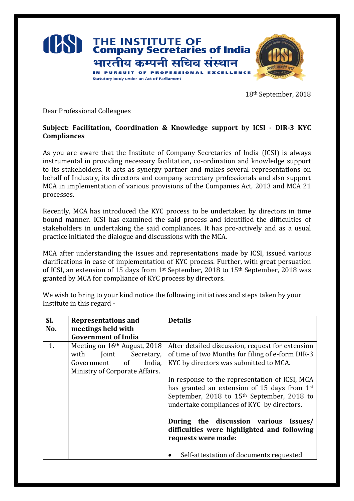

18th September, 2018

Dear Professional Colleagues

## **Subject: Facilitation, Coordination & Knowledge support by ICSI - DIR-3 KYC Compliances**

As you are aware that the Institute of Company Secretaries of India (ICSI) is always instrumental in providing necessary facilitation, co-ordination and knowledge support to its stakeholders. It acts as synergy partner and makes several representations on behalf of Industry, its directors and company secretary professionals and also support MCA in implementation of various provisions of the Companies Act, 2013 and MCA 21 processes.

Recently, MCA has introduced the KYC process to be undertaken by directors in time bound manner. ICSI has examined the said process and identified the difficulties of stakeholders in undertaking the said compliances. It has pro-actively and as a usual practice initiated the dialogue and discussions with the MCA.

MCA after understanding the issues and representations made by ICSI, issued various clarifications in ease of implementation of KYC process. Further, with great persuation of ICSI, an extension of 15 days from 1st September, 2018 to 15th September, 2018 was granted by MCA for compliance of KYC process by directors.

We wish to bring to your kind notice the following initiatives and steps taken by your Institute in this regard -

| SI. | <b>Representations and</b>                                                                         | <b>Details</b>                                                                                                                                                                                                                                  |
|-----|----------------------------------------------------------------------------------------------------|-------------------------------------------------------------------------------------------------------------------------------------------------------------------------------------------------------------------------------------------------|
| No. | meetings held with                                                                                 |                                                                                                                                                                                                                                                 |
|     | <b>Government of India</b>                                                                         |                                                                                                                                                                                                                                                 |
| 1.  | Meeting on 16 <sup>th</sup> August, 2018<br>Joint<br>with<br>Secretary,<br>Government of<br>India, | After detailed discussion, request for extension<br>of time of two Months for filing of e-form DIR-3<br>KYC by directors was submitted to MCA.                                                                                                  |
|     | Ministry of Corporate Affairs.                                                                     | In response to the representation of ICSI, MCA<br>has granted an extension of 15 days from 1st<br>September, 2018 to 15 <sup>th</sup> September, 2018 to<br>undertake compliances of KYC by directors.<br>During the discussion various Issues/ |
|     |                                                                                                    | difficulties were highlighted and following<br>requests were made:<br>Self-attestation of documents requested                                                                                                                                   |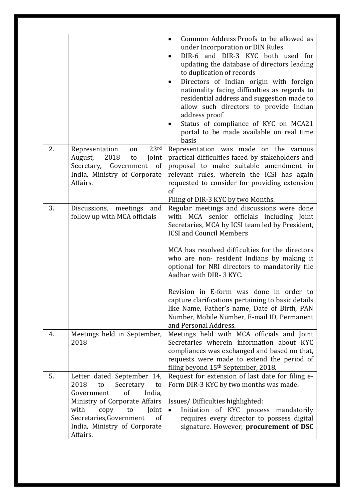|    |                                                                                                                                                                                                                                                   | Common Address Proofs to be allowed as<br>$\bullet$<br>under Incorporation or DIN Rules<br>DIR-6 and DIR-3 KYC both used for<br>updating the database of directors leading<br>to duplication of records<br>Directors of Indian origin with foreign<br>nationality facing difficulties as regards to<br>residential address and suggestion made to<br>allow such directors to provide Indian<br>address proof<br>Status of compliance of KYC on MCA21<br>portal to be made available on real time<br>basis                                                                           |
|----|---------------------------------------------------------------------------------------------------------------------------------------------------------------------------------------------------------------------------------------------------|-------------------------------------------------------------------------------------------------------------------------------------------------------------------------------------------------------------------------------------------------------------------------------------------------------------------------------------------------------------------------------------------------------------------------------------------------------------------------------------------------------------------------------------------------------------------------------------|
| 2. | 23 <sup>rd</sup><br>Representation<br>on<br>2018<br>Joint<br>August,<br>to<br>Secretary, Government<br>of<br>India, Ministry of Corporate<br>Affairs.                                                                                             | Representation was made on the various<br>practical difficulties faced by stakeholders and<br>proposal to make suitable amendment in<br>relevant rules, wherein the ICSI has again<br>requested to consider for providing extension<br><sub>of</sub><br>Filing of DIR-3 KYC by two Months.                                                                                                                                                                                                                                                                                          |
| 3. | Discussions, meetings and<br>follow up with MCA officials                                                                                                                                                                                         | Regular meetings and discussions were done<br>with MCA senior officials including Joint<br>Secretaries, MCA by ICSI team led by President,<br><b>ICSI and Council Members</b><br>MCA has resolved difficulties for the directors<br>who are non-resident Indians by making it<br>optional for NRI directors to mandatorily file<br>Aadhar with DIR- 3 KYC.<br>Revision in E-form was done in order to<br>capture clarifications pertaining to basic details<br>like Name, Father's name, Date of Birth, PAN<br>Number, Mobile Number, E-mail ID, Permanent<br>and Personal Address. |
| 4. | Meetings held in September,<br>2018                                                                                                                                                                                                               | Meetings held with MCA officials and Joint<br>Secretaries wherein information about KYC<br>compliances was exchanged and based on that,<br>requests were made to extend the period of<br>filing beyond 15 <sup>th</sup> September, 2018.                                                                                                                                                                                                                                                                                                                                            |
| 5. | Letter dated September 14,<br>2018<br>Secretary<br>to<br>to<br>of<br>India,<br>Government<br>Ministry of Corporate Affairs<br>with<br>Joint<br>copy<br>to<br>Secretaries, Government<br><sub>of</sub><br>India, Ministry of Corporate<br>Affairs. | Request for extension of last date for filing e-<br>Form DIR-3 KYC by two months was made.<br>Issues/Difficulties highlighted:<br>Initiation of KYC process mandatorily<br>requires every director to possess digital<br>signature. However, procurement of DSC                                                                                                                                                                                                                                                                                                                     |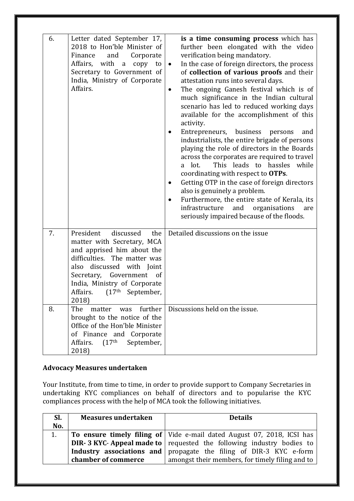| 6. | Letter dated September 17,<br>2018 to Hon'ble Minister of<br>Finance<br>and<br>Corporate<br>Affairs, with<br>copy to<br>a<br>Secretary to Government of<br>India, Ministry of Corporate<br>Affairs.                                                                 | is a time consuming process which has<br>further been elongated with the video<br>verification being mandatory.<br>In the case of foreign directors, the process<br>$\bullet$<br>of collection of various proofs and their<br>attestation runs into several days.<br>The ongoing Ganesh festival which is of<br>$\bullet$<br>much significance in the Indian cultural<br>scenario has led to reduced working days<br>available for the accomplishment of this<br>activity.<br>Entrepreneurs, business<br>persons<br>and<br>$\bullet$<br>industrialists, the entire brigade of persons<br>playing the role of directors in the Boards<br>across the corporates are required to travel<br>This leads to hassles while<br>a lot.<br>coordinating with respect to OTPs.<br>Getting OTP in the case of foreign directors<br>$\bullet$<br>also is genuinely a problem.<br>Furthermore, the entire state of Kerala, its<br>$\bullet$<br>infrastructure<br>and<br>organisations<br>are<br>seriously impaired because of the floods. |
|----|---------------------------------------------------------------------------------------------------------------------------------------------------------------------------------------------------------------------------------------------------------------------|-----------------------------------------------------------------------------------------------------------------------------------------------------------------------------------------------------------------------------------------------------------------------------------------------------------------------------------------------------------------------------------------------------------------------------------------------------------------------------------------------------------------------------------------------------------------------------------------------------------------------------------------------------------------------------------------------------------------------------------------------------------------------------------------------------------------------------------------------------------------------------------------------------------------------------------------------------------------------------------------------------------------------------|
| 7. | President<br>discussed<br>the<br>matter with Secretary, MCA<br>and apprised him about the<br>difficulties. The matter was<br>discussed with Joint<br>also<br>Secretary, Government<br>of<br>India, Ministry of Corporate<br>Affairs.<br>$(17th$ September,<br>2018) | Detailed discussions on the issue                                                                                                                                                                                                                                                                                                                                                                                                                                                                                                                                                                                                                                                                                                                                                                                                                                                                                                                                                                                           |
| 8. | further<br>The<br>matter<br>was<br>brought to the notice of the<br>Office of the Hon'ble Minister<br>of Finance and Corporate<br>(17 <sup>th</sup> )<br>Affairs.<br>September,<br>2018)                                                                             | Discussions held on the issue.                                                                                                                                                                                                                                                                                                                                                                                                                                                                                                                                                                                                                                                                                                                                                                                                                                                                                                                                                                                              |

## **Advocacy Measures undertaken**

Your Institute, from time to time, in order to provide support to Company Secretaries in undertaking KYC compliances on behalf of directors and to popularise the KYC compliances process with the help of MCA took the following initiatives.

| SI. | <b>Measures undertaken</b> | <b>Details</b>                                                                 |
|-----|----------------------------|--------------------------------------------------------------------------------|
| No. |                            |                                                                                |
| 1.  |                            | To ensure timely filing of Vide e-mail dated August 07, 2018, ICSI has         |
|     |                            | <b>DIR- 3 KYC- Appeal made to</b>   requested the following industry bodies to |
|     |                            | Industry associations and propagate the filing of DIR-3 KYC e-form             |
|     | chamber of commerce        | amongst their members, for timely filing and to                                |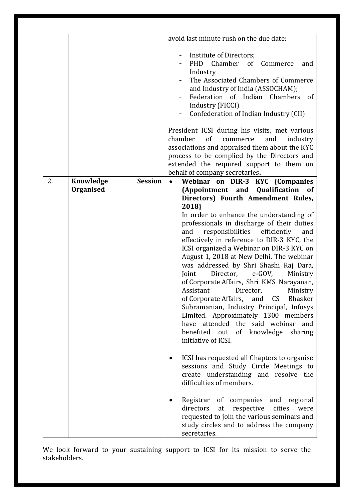|    |                             | avoid last minute rush on the due date:                                                                                                                                                                                                                      |
|----|-----------------------------|--------------------------------------------------------------------------------------------------------------------------------------------------------------------------------------------------------------------------------------------------------------|
|    |                             | Institute of Directors;<br>Chamber<br>of<br>PHD<br>Commerce<br>and<br>Industry<br>The Associated Chambers of Commerce<br>and Industry of India (ASSOCHAM);<br>Federation of Indian Chambers of<br>Industry (FICCI)<br>Confederation of Indian Industry (CII) |
|    |                             | President ICSI during his visits, met various<br>chamber<br>of<br>commerce<br>and<br>industry<br>associations and appraised them about the KYC<br>process to be complied by the Directors and<br>extended the required support to them on                    |
|    |                             | behalf of company secretaries.                                                                                                                                                                                                                               |
| 2. | <b>Session</b><br>Knowledge | Webinar on DIR-3 KYC {Companies                                                                                                                                                                                                                              |
|    | Organised                   | (Appointment and<br>Qualification<br>of                                                                                                                                                                                                                      |
|    |                             | Directors) Fourth Amendment Rules,                                                                                                                                                                                                                           |
|    |                             | 2018}                                                                                                                                                                                                                                                        |
|    |                             | In order to enhance the understanding of                                                                                                                                                                                                                     |
|    |                             | professionals in discharge of their duties                                                                                                                                                                                                                   |
|    |                             | responsibilities<br>efficiently<br>and<br>and                                                                                                                                                                                                                |
|    |                             | effectively in reference to DIR-3 KYC, the                                                                                                                                                                                                                   |
|    |                             | ICSI organized a Webinar on DIR-3 KYC on<br>August 1, 2018 at New Delhi. The webinar                                                                                                                                                                         |
|    |                             | was addressed by Shri Shashi Raj Dara,                                                                                                                                                                                                                       |
|    |                             | Director,<br>e-GOV,<br>Joint<br>Ministry                                                                                                                                                                                                                     |
|    |                             | of Corporate Affairs, Shri KMS Narayanan,                                                                                                                                                                                                                    |
|    |                             | Assistant<br>Director,<br>Ministry                                                                                                                                                                                                                           |
|    |                             | of Corporate Affairs,<br>and CS Bhasker                                                                                                                                                                                                                      |
|    |                             | Subramanian, Industry Principal, Infosys                                                                                                                                                                                                                     |
|    |                             | Limited. Approximately 1300 members<br>have attended the said webinar and                                                                                                                                                                                    |
|    |                             | benefited<br>of<br>knowledge<br>out<br>sharing                                                                                                                                                                                                               |
|    |                             | initiative of ICSI.                                                                                                                                                                                                                                          |
|    |                             |                                                                                                                                                                                                                                                              |
|    |                             | ICSI has requested all Chapters to organise                                                                                                                                                                                                                  |
|    |                             | sessions and Study Circle Meetings to                                                                                                                                                                                                                        |
|    |                             | create understanding and resolve the<br>difficulties of members.                                                                                                                                                                                             |
|    |                             |                                                                                                                                                                                                                                                              |
|    |                             | Registrar<br>of<br>companies<br>and regional                                                                                                                                                                                                                 |
|    |                             | directors<br>respective<br>cities<br>were<br>at                                                                                                                                                                                                              |
|    |                             | requested to join the various seminars and                                                                                                                                                                                                                   |
|    |                             |                                                                                                                                                                                                                                                              |
|    |                             | study circles and to address the company<br>secretaries.                                                                                                                                                                                                     |

We look forward to your sustaining support to ICSI for its mission to serve the stakeholders.